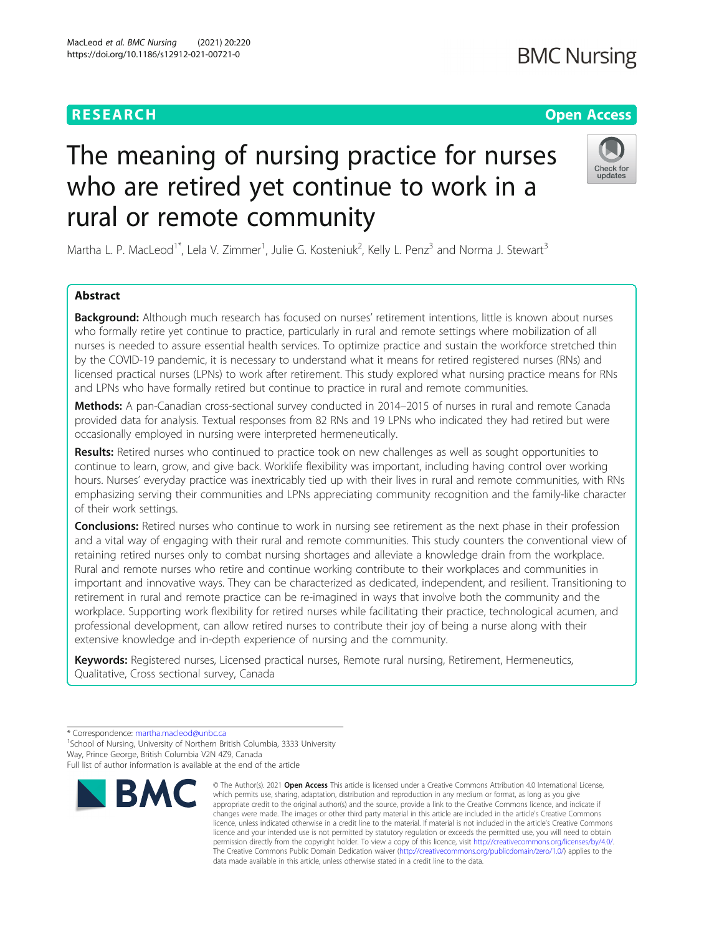# **RESEARCH CHE Open Access**

# The meaning of nursing practice for nurses who are retired yet continue to work in a rural or remote community

Martha L. P. MacLeod<sup>1\*</sup>, Lela V. Zimmer<sup>1</sup>, Julie G. Kosteniuk<sup>2</sup>, Kelly L. Penz<sup>3</sup> and Norma J. Stewart<sup>3</sup>

# Abstract

Background: Although much research has focused on nurses' retirement intentions, little is known about nurses who formally retire yet continue to practice, particularly in rural and remote settings where mobilization of all nurses is needed to assure essential health services. To optimize practice and sustain the workforce stretched thin by the COVID-19 pandemic, it is necessary to understand what it means for retired registered nurses (RNs) and licensed practical nurses (LPNs) to work after retirement. This study explored what nursing practice means for RNs and LPNs who have formally retired but continue to practice in rural and remote communities.

Methods: A pan-Canadian cross-sectional survey conducted in 2014–2015 of nurses in rural and remote Canada provided data for analysis. Textual responses from 82 RNs and 19 LPNs who indicated they had retired but were occasionally employed in nursing were interpreted hermeneutically.

Results: Retired nurses who continued to practice took on new challenges as well as sought opportunities to continue to learn, grow, and give back. Worklife flexibility was important, including having control over working hours. Nurses' everyday practice was inextricably tied up with their lives in rural and remote communities, with RNs emphasizing serving their communities and LPNs appreciating community recognition and the family-like character of their work settings.

**Conclusions:** Retired nurses who continue to work in nursing see retirement as the next phase in their profession and a vital way of engaging with their rural and remote communities. This study counters the conventional view of retaining retired nurses only to combat nursing shortages and alleviate a knowledge drain from the workplace. Rural and remote nurses who retire and continue working contribute to their workplaces and communities in important and innovative ways. They can be characterized as dedicated, independent, and resilient. Transitioning to retirement in rural and remote practice can be re-imagined in ways that involve both the community and the workplace. Supporting work flexibility for retired nurses while facilitating their practice, technological acumen, and professional development, can allow retired nurses to contribute their joy of being a nurse along with their extensive knowledge and in-depth experience of nursing and the community.

Keywords: Registered nurses, Licensed practical nurses, Remote rural nursing, Retirement, Hermeneutics, Qualitative, Cross sectional survey, Canada

<sup>1</sup> School of Nursing, University of Northern British Columbia, 3333 University Way, Prince George, British Columbia V2N 4Z9, Canada



<sup>©</sup> The Author(s), 2021 **Open Access** This article is licensed under a Creative Commons Attribution 4.0 International License, which permits use, sharing, adaptation, distribution and reproduction in any medium or format, as long as you give appropriate credit to the original author(s) and the source, provide a link to the Creative Commons licence, and indicate if changes were made. The images or other third party material in this article are included in the article's Creative Commons licence, unless indicated otherwise in a credit line to the material. If material is not included in the article's Creative Commons licence and your intended use is not permitted by statutory regulation or exceeds the permitted use, you will need to obtain permission directly from the copyright holder. To view a copy of this licence, visit [http://creativecommons.org/licenses/by/4.0/.](http://creativecommons.org/licenses/by/4.0/) The Creative Commons Public Domain Dedication waiver [\(http://creativecommons.org/publicdomain/zero/1.0/](http://creativecommons.org/publicdomain/zero/1.0/)) applies to the data made available in this article, unless otherwise stated in a credit line to the data.



<sup>\*</sup> Correspondence: [martha.macleod@unbc.ca](mailto:martha.macleod@unbc.ca) <sup>1</sup>

Full list of author information is available at the end of the article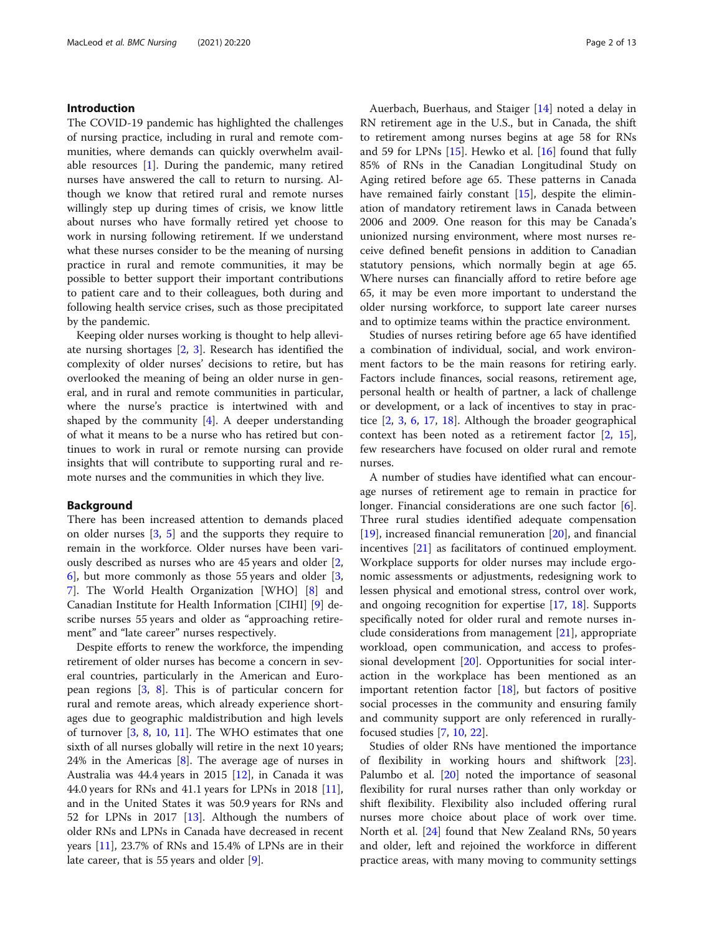# Introduction

The COVID-19 pandemic has highlighted the challenges of nursing practice, including in rural and remote communities, where demands can quickly overwhelm available resources [\[1](#page-11-0)]. During the pandemic, many retired nurses have answered the call to return to nursing. Although we know that retired rural and remote nurses willingly step up during times of crisis, we know little about nurses who have formally retired yet choose to work in nursing following retirement. If we understand what these nurses consider to be the meaning of nursing practice in rural and remote communities, it may be possible to better support their important contributions to patient care and to their colleagues, both during and following health service crises, such as those precipitated by the pandemic.

Keeping older nurses working is thought to help alleviate nursing shortages [[2,](#page-11-0) [3\]](#page-11-0). Research has identified the complexity of older nurses' decisions to retire, but has overlooked the meaning of being an older nurse in general, and in rural and remote communities in particular, where the nurse's practice is intertwined with and shaped by the community  $[4]$  $[4]$  $[4]$ . A deeper understanding of what it means to be a nurse who has retired but continues to work in rural or remote nursing can provide insights that will contribute to supporting rural and remote nurses and the communities in which they live.

#### Background

There has been increased attention to demands placed on older nurses [[3,](#page-11-0) [5\]](#page-11-0) and the supports they require to remain in the workforce. Older nurses have been variously described as nurses who are 45 years and older [[2](#page-11-0), [6\]](#page-11-0), but more commonly as those 55 years and older [\[3](#page-11-0), [7\]](#page-11-0). The World Health Organization [WHO] [\[8](#page-11-0)] and Canadian Institute for Health Information [CIHI] [\[9](#page-11-0)] describe nurses 55 years and older as "approaching retirement" and "late career" nurses respectively.

Despite efforts to renew the workforce, the impending retirement of older nurses has become a concern in several countries, particularly in the American and European regions [[3](#page-11-0), [8\]](#page-11-0). This is of particular concern for rural and remote areas, which already experience shortages due to geographic maldistribution and high levels of turnover [\[3](#page-11-0), [8,](#page-11-0) [10](#page-11-0), [11\]](#page-11-0). The WHO estimates that one sixth of all nurses globally will retire in the next 10 years; 24% in the Americas [[8](#page-11-0)]. The average age of nurses in Australia was 44.4 years in 2015 [[12](#page-11-0)], in Canada it was 44.0 years for RNs and 41.1 years for LPNs in 2018 [\[11](#page-11-0)], and in the United States it was 50.9 years for RNs and 52 for LPNs in 2017 [\[13](#page-11-0)]. Although the numbers of older RNs and LPNs in Canada have decreased in recent years [[11\]](#page-11-0), 23.7% of RNs and 15.4% of LPNs are in their late career, that is 55 years and older [[9\]](#page-11-0).

Auerbach, Buerhaus, and Staiger [[14\]](#page-11-0) noted a delay in RN retirement age in the U.S., but in Canada, the shift to retirement among nurses begins at age 58 for RNs and 59 for LPNs [\[15](#page-11-0)]. Hewko et al. [[16\]](#page-12-0) found that fully 85% of RNs in the Canadian Longitudinal Study on Aging retired before age 65. These patterns in Canada have remained fairly constant  $[15]$  $[15]$  $[15]$ , despite the elimination of mandatory retirement laws in Canada between 2006 and 2009. One reason for this may be Canada's unionized nursing environment, where most nurses receive defined benefit pensions in addition to Canadian statutory pensions, which normally begin at age 65. Where nurses can financially afford to retire before age 65, it may be even more important to understand the older nursing workforce, to support late career nurses and to optimize teams within the practice environment.

Studies of nurses retiring before age 65 have identified a combination of individual, social, and work environment factors to be the main reasons for retiring early. Factors include finances, social reasons, retirement age, personal health or health of partner, a lack of challenge or development, or a lack of incentives to stay in practice [\[2](#page-11-0), [3,](#page-11-0) [6,](#page-11-0) [17](#page-12-0), [18\]](#page-12-0). Although the broader geographical context has been noted as a retirement factor [[2,](#page-11-0) [15](#page-11-0)], few researchers have focused on older rural and remote nurses.

A number of studies have identified what can encourage nurses of retirement age to remain in practice for longer. Financial considerations are one such factor  $[6]$  $[6]$ . Three rural studies identified adequate compensation [[19\]](#page-12-0), increased financial remuneration [\[20](#page-12-0)], and financial incentives [[21](#page-12-0)] as facilitators of continued employment. Workplace supports for older nurses may include ergonomic assessments or adjustments, redesigning work to lessen physical and emotional stress, control over work, and ongoing recognition for expertise [[17,](#page-12-0) [18](#page-12-0)]. Supports specifically noted for older rural and remote nurses include considerations from management [\[21](#page-12-0)], appropriate workload, open communication, and access to professional development [\[20](#page-12-0)]. Opportunities for social interaction in the workplace has been mentioned as an important retention factor  $[18]$ , but factors of positive social processes in the community and ensuring family and community support are only referenced in rurallyfocused studies [\[7,](#page-11-0) [10,](#page-11-0) [22\]](#page-12-0).

Studies of older RNs have mentioned the importance of flexibility in working hours and shiftwork [\[23](#page-12-0)]. Palumbo et al. [[20\]](#page-12-0) noted the importance of seasonal flexibility for rural nurses rather than only workday or shift flexibility. Flexibility also included offering rural nurses more choice about place of work over time. North et al. [\[24](#page-12-0)] found that New Zealand RNs, 50 years and older, left and rejoined the workforce in different practice areas, with many moving to community settings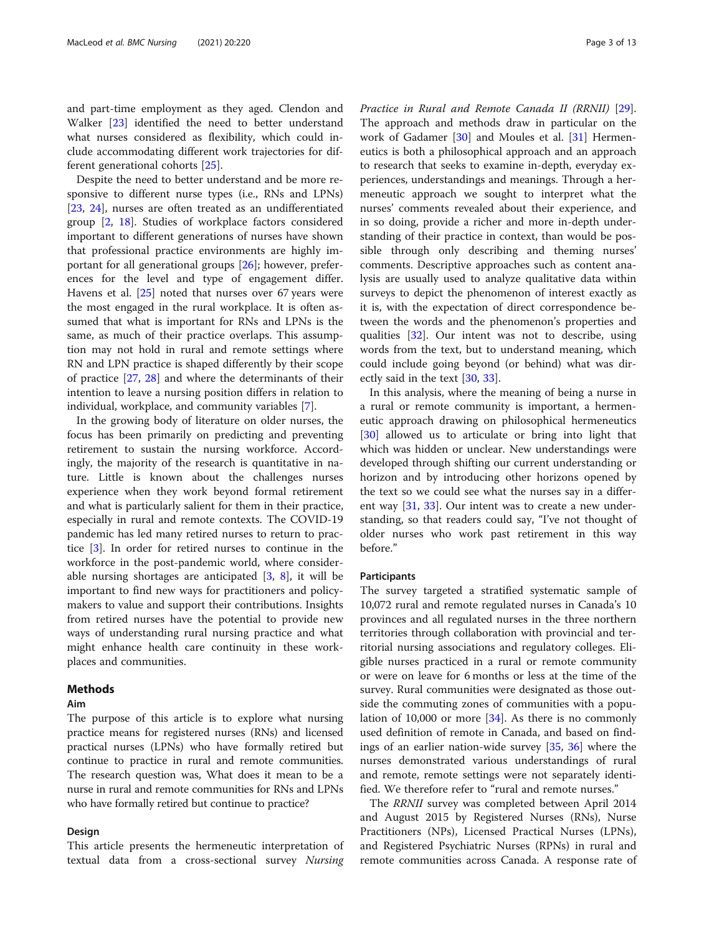and part-time employment as they aged. Clendon and Walker [\[23](#page-12-0)] identified the need to better understand what nurses considered as flexibility, which could include accommodating different work trajectories for different generational cohorts [\[25](#page-12-0)].

Despite the need to better understand and be more responsive to different nurse types (i.e., RNs and LPNs) [[23,](#page-12-0) [24\]](#page-12-0), nurses are often treated as an undifferentiated group [[2,](#page-11-0) [18](#page-12-0)]. Studies of workplace factors considered important to different generations of nurses have shown that professional practice environments are highly important for all generational groups [[26\]](#page-12-0); however, preferences for the level and type of engagement differ. Havens et al. [[25](#page-12-0)] noted that nurses over 67 years were the most engaged in the rural workplace. It is often assumed that what is important for RNs and LPNs is the same, as much of their practice overlaps. This assumption may not hold in rural and remote settings where RN and LPN practice is shaped differently by their scope of practice [\[27](#page-12-0), [28\]](#page-12-0) and where the determinants of their intention to leave a nursing position differs in relation to individual, workplace, and community variables [[7\]](#page-11-0).

In the growing body of literature on older nurses, the focus has been primarily on predicting and preventing retirement to sustain the nursing workforce. Accordingly, the majority of the research is quantitative in nature. Little is known about the challenges nurses experience when they work beyond formal retirement and what is particularly salient for them in their practice, especially in rural and remote contexts. The COVID-19 pandemic has led many retired nurses to return to practice [[3\]](#page-11-0). In order for retired nurses to continue in the workforce in the post-pandemic world, where considerable nursing shortages are anticipated  $[3, 8]$  $[3, 8]$  $[3, 8]$ , it will be important to find new ways for practitioners and policymakers to value and support their contributions. Insights from retired nurses have the potential to provide new ways of understanding rural nursing practice and what might enhance health care continuity in these workplaces and communities.

# **Methods**

# Aim

The purpose of this article is to explore what nursing practice means for registered nurses (RNs) and licensed practical nurses (LPNs) who have formally retired but continue to practice in rural and remote communities. The research question was, What does it mean to be a nurse in rural and remote communities for RNs and LPNs who have formally retired but continue to practice?

#### Design

This article presents the hermeneutic interpretation of textual data from a cross-sectional survey Nursing Practice in Rural and Remote Canada II (RRNII) [\[29](#page-12-0)]. The approach and methods draw in particular on the work of Gadamer [\[30\]](#page-12-0) and Moules et al. [\[31](#page-12-0)] Hermeneutics is both a philosophical approach and an approach to research that seeks to examine in-depth, everyday experiences, understandings and meanings. Through a hermeneutic approach we sought to interpret what the nurses' comments revealed about their experience, and in so doing, provide a richer and more in-depth understanding of their practice in context, than would be possible through only describing and theming nurses' comments. Descriptive approaches such as content analysis are usually used to analyze qualitative data within surveys to depict the phenomenon of interest exactly as it is, with the expectation of direct correspondence between the words and the phenomenon's properties and qualities [[32](#page-12-0)]. Our intent was not to describe, using words from the text, but to understand meaning, which could include going beyond (or behind) what was directly said in the text [[30,](#page-12-0) [33\]](#page-12-0).

In this analysis, where the meaning of being a nurse in a rural or remote community is important, a hermeneutic approach drawing on philosophical hermeneutics [[30\]](#page-12-0) allowed us to articulate or bring into light that which was hidden or unclear. New understandings were developed through shifting our current understanding or horizon and by introducing other horizons opened by the text so we could see what the nurses say in a different way [\[31](#page-12-0), [33\]](#page-12-0). Our intent was to create a new understanding, so that readers could say, "I've not thought of older nurses who work past retirement in this way before."

#### Participants

The survey targeted a stratified systematic sample of 10,072 rural and remote regulated nurses in Canada's 10 provinces and all regulated nurses in the three northern territories through collaboration with provincial and territorial nursing associations and regulatory colleges. Eligible nurses practiced in a rural or remote community or were on leave for 6 months or less at the time of the survey. Rural communities were designated as those outside the commuting zones of communities with a population of 10,000 or more [[34\]](#page-12-0). As there is no commonly used definition of remote in Canada, and based on findings of an earlier nation-wide survey [[35,](#page-12-0) [36](#page-12-0)] where the nurses demonstrated various understandings of rural and remote, remote settings were not separately identified. We therefore refer to "rural and remote nurses."

The RRNII survey was completed between April 2014 and August 2015 by Registered Nurses (RNs), Nurse Practitioners (NPs), Licensed Practical Nurses (LPNs), and Registered Psychiatric Nurses (RPNs) in rural and remote communities across Canada. A response rate of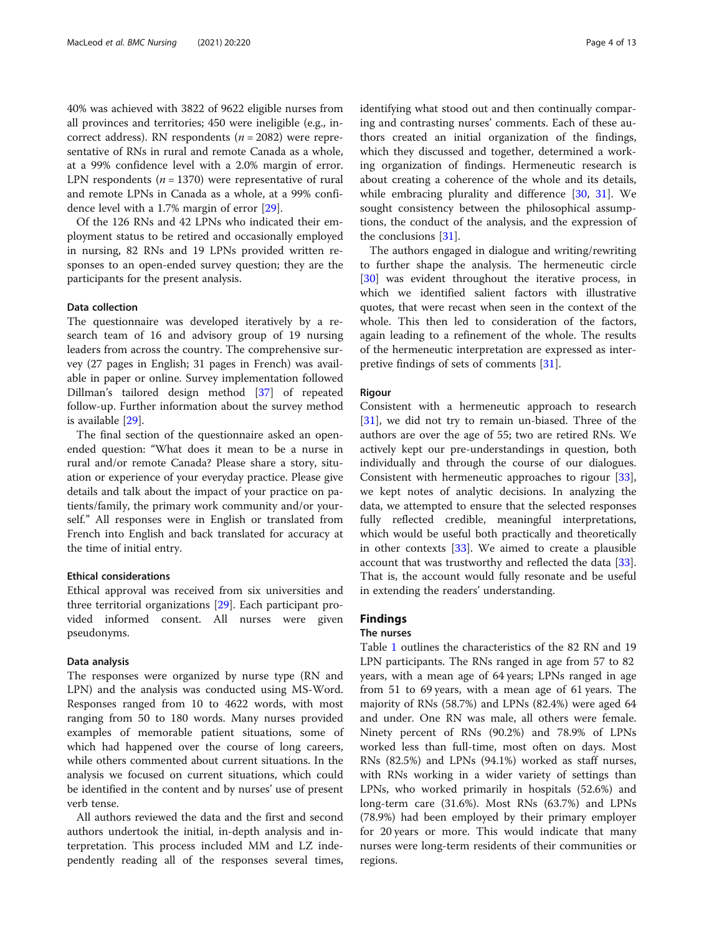40% was achieved with 3822 of 9622 eligible nurses from all provinces and territories; 450 were ineligible (e.g., incorrect address). RN respondents ( $n = 2082$ ) were representative of RNs in rural and remote Canada as a whole, at a 99% confidence level with a 2.0% margin of error. LPN respondents ( $n = 1370$ ) were representative of rural and remote LPNs in Canada as a whole, at a 99% confidence level with a 1.7% margin of error [\[29](#page-12-0)].

Of the 126 RNs and 42 LPNs who indicated their employment status to be retired and occasionally employed in nursing, 82 RNs and 19 LPNs provided written responses to an open-ended survey question; they are the participants for the present analysis.

#### Data collection

The questionnaire was developed iteratively by a research team of 16 and advisory group of 19 nursing leaders from across the country. The comprehensive survey (27 pages in English; 31 pages in French) was available in paper or online. Survey implementation followed Dillman's tailored design method [[37\]](#page-12-0) of repeated follow-up. Further information about the survey method is available [[29\]](#page-12-0).

The final section of the questionnaire asked an openended question: "What does it mean to be a nurse in rural and/or remote Canada? Please share a story, situation or experience of your everyday practice. Please give details and talk about the impact of your practice on patients/family, the primary work community and/or yourself." All responses were in English or translated from French into English and back translated for accuracy at the time of initial entry.

#### Ethical considerations

Ethical approval was received from six universities and three territorial organizations [\[29](#page-12-0)]. Each participant provided informed consent. All nurses were given pseudonyms.

#### Data analysis

The responses were organized by nurse type (RN and LPN) and the analysis was conducted using MS-Word. Responses ranged from 10 to 4622 words, with most ranging from 50 to 180 words. Many nurses provided examples of memorable patient situations, some of which had happened over the course of long careers, while others commented about current situations. In the analysis we focused on current situations, which could be identified in the content and by nurses' use of present verb tense.

All authors reviewed the data and the first and second authors undertook the initial, in-depth analysis and interpretation. This process included MM and LZ independently reading all of the responses several times, identifying what stood out and then continually comparing and contrasting nurses' comments. Each of these authors created an initial organization of the findings, which they discussed and together, determined a working organization of findings. Hermeneutic research is about creating a coherence of the whole and its details, while embracing plurality and difference [[30,](#page-12-0) [31\]](#page-12-0). We sought consistency between the philosophical assumptions, the conduct of the analysis, and the expression of the conclusions [[31](#page-12-0)].

The authors engaged in dialogue and writing/rewriting to further shape the analysis. The hermeneutic circle [[30\]](#page-12-0) was evident throughout the iterative process, in which we identified salient factors with illustrative quotes, that were recast when seen in the context of the whole. This then led to consideration of the factors, again leading to a refinement of the whole. The results of the hermeneutic interpretation are expressed as interpretive findings of sets of comments [[31\]](#page-12-0).

## Rigour

Consistent with a hermeneutic approach to research [[31\]](#page-12-0), we did not try to remain un-biased. Three of the authors are over the age of 55; two are retired RNs. We actively kept our pre-understandings in question, both individually and through the course of our dialogues. Consistent with hermeneutic approaches to rigour [\[33](#page-12-0)], we kept notes of analytic decisions. In analyzing the data, we attempted to ensure that the selected responses fully reflected credible, meaningful interpretations, which would be useful both practically and theoretically in other contexts [[33\]](#page-12-0). We aimed to create a plausible account that was trustworthy and reflected the data [\[33](#page-12-0)]. That is, the account would fully resonate and be useful in extending the readers' understanding.

# Findings

# The nurses

Table [1](#page-4-0) outlines the characteristics of the 82 RN and 19 LPN participants. The RNs ranged in age from 57 to 82 years, with a mean age of 64 years; LPNs ranged in age from 51 to 69 years, with a mean age of 61 years. The majority of RNs (58.7%) and LPNs (82.4%) were aged 64 and under. One RN was male, all others were female. Ninety percent of RNs (90.2%) and 78.9% of LPNs worked less than full-time, most often on days. Most RNs (82.5%) and LPNs (94.1%) worked as staff nurses, with RNs working in a wider variety of settings than LPNs, who worked primarily in hospitals (52.6%) and long-term care (31.6%). Most RNs (63.7%) and LPNs (78.9%) had been employed by their primary employer for 20 years or more. This would indicate that many nurses were long-term residents of their communities or regions.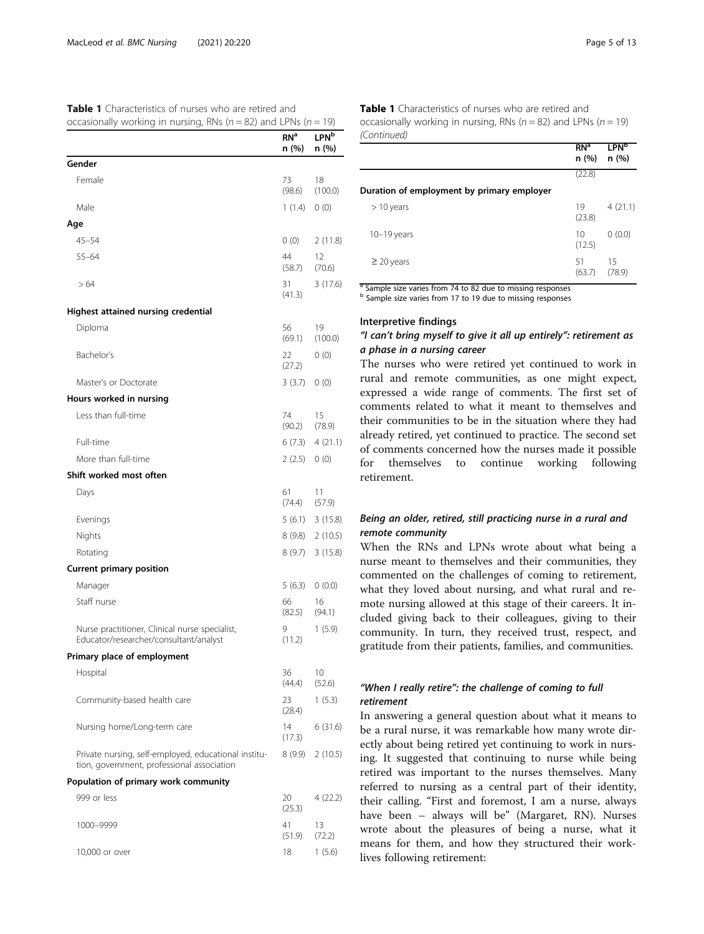<span id="page-4-0"></span>

| <b>Table 1</b> Characteristics of nurses who are retired and            |
|-------------------------------------------------------------------------|
| occasionally working in nursing, RNs ( $n = 82$ ) and LPNs ( $n = 19$ ) |

|                                                                                                    | RN <sup>a</sup><br>n (%) | <b>LPN</b> b<br>n (%) |
|----------------------------------------------------------------------------------------------------|--------------------------|-----------------------|
| Gender                                                                                             |                          |                       |
| Female                                                                                             | 73<br>(98.6)             | 18<br>(100.0)         |
| Male                                                                                               | 1(1.4)                   | 0(0)                  |
| Age                                                                                                |                          |                       |
| $45 - 54$                                                                                          | 0(0)                     | 2(11.8)               |
| $55 - 64$                                                                                          | 44<br>(58.7)             | 12<br>(70.6)          |
| >64                                                                                                | 31<br>(41.3)             | 3(17.6)               |
| Highest attained nursing credential                                                                |                          |                       |
| Diploma                                                                                            | 56<br>(69.1)             | 19<br>(100.0)         |
| Bachelor's                                                                                         | 22<br>(27.2)             | 0(0)                  |
| Master's or Doctorate                                                                              | 3(3.7)                   | 0(0)                  |
| Hours worked in nursing                                                                            |                          |                       |
| Less than full-time                                                                                | 74<br>(90.2)             | 15<br>(78.9)          |
| Full-time                                                                                          | 6 (7.3)                  | 4(21.1)               |
| More than full-time                                                                                | 2(2.5)                   | 0(0)                  |
| Shift worked most often                                                                            |                          |                       |
| Days                                                                                               | 61<br>(74.4)             | 11<br>(57.9)          |
| Evenings                                                                                           | 5(6.1)                   | 3(15.8)               |
| Nights                                                                                             | 8 (9.8)                  | 2(10.5)               |
| Rotating                                                                                           | 8(9.7)                   | 3(15.8)               |
| <b>Current primary position</b>                                                                    |                          |                       |
| Manager                                                                                            | 5(6.3)                   | 0(0.0)                |
| Staff nurse                                                                                        | 66<br>(82.5)             | 16<br>(94.1)          |
| Nurse practitioner, Clinical nurse specialist,<br>Educator/researcher/consultant/analyst           | 9<br>(11.2)              | 1(5.9)                |
| Primary place of employment                                                                        |                          |                       |
| Hospital                                                                                           | 36<br>(44.4)             | 10<br>(52.6)          |
| Community-based health care                                                                        | 23<br>(28.4)             | 1(5.3)                |
| Nursing home/Long-term care                                                                        | 14<br>(17.3)             | 6(31.6)               |
| Private nursing, self-employed, educational institu-<br>tion, government, professional association | 8 (9.9)                  | 2(10.5)               |
| Population of primary work community                                                               |                          |                       |
| 999 or less                                                                                        | 20<br>(25.3)             | 4 (22.2)              |
| 1000-9999                                                                                          | 41<br>(51.9)             | 13<br>(72.2)          |
| 10,000 or over                                                                                     | 18                       | 1(5.6)                |

Table 1 Characteristics of nurses who are retired and occasionally working in nursing, RNs ( $n = 82$ ) and LPNs ( $n = 19$ ) (Continued)

|                                            | n(%)         | n(%)         |
|--------------------------------------------|--------------|--------------|
|                                            | (22.8)       |              |
| Duration of employment by primary employer |              |              |
| $> 10$ years                               | 19<br>(23.8) | 4(21.1)      |
| $10-19$ years                              | 10<br>(12.5) | 0(0.0)       |
| $\geq$ 20 years                            | 51<br>(63.7) | 15<br>(78.9) |

<sup>a</sup> Sample size varies from 74 to 82 due to missing responses

<sup>b</sup> Sample size varies from 17 to 19 due to missing responses

# Interpretive findings

# "I can't bring myself to give it all up entirely": retirement as a phase in a nursing career

The nurses who were retired yet continued to work in rural and remote communities, as one might expect, expressed a wide range of comments. The first set of comments related to what it meant to themselves and their communities to be in the situation where they had already retired, yet continued to practice. The second set of comments concerned how the nurses made it possible for themselves to continue working following retirement.

# Being an older, retired, still practicing nurse in a rural and remote community

When the RNs and LPNs wrote about what being a nurse meant to themselves and their communities, they commented on the challenges of coming to retirement, what they loved about nursing, and what rural and remote nursing allowed at this stage of their careers. It included giving back to their colleagues, giving to their community. In turn, they received trust, respect, and gratitude from their patients, families, and communities.

# "When I really retire": the challenge of coming to full retirement

In answering a general question about what it means to be a rural nurse, it was remarkable how many wrote directly about being retired yet continuing to work in nursing. It suggested that continuing to nurse while being retired was important to the nurses themselves. Many referred to nursing as a central part of their identity, their calling. "First and foremost, I am a nurse, always have been – always will be" (Margaret, RN). Nurses wrote about the pleasures of being a nurse, what it means for them, and how they structured their worklives following retirement:

LPN<sup>b</sup>

 $RN<sup>a</sup>$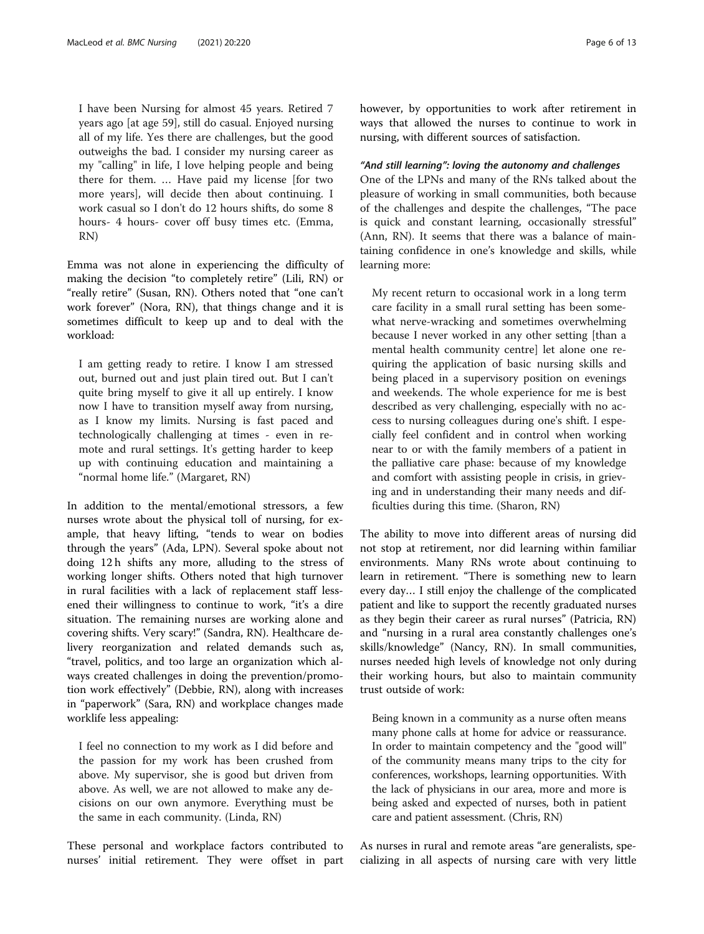I have been Nursing for almost 45 years. Retired 7 years ago [at age 59], still do casual. Enjoyed nursing all of my life. Yes there are challenges, but the good outweighs the bad. I consider my nursing career as my "calling" in life, I love helping people and being there for them. … Have paid my license [for two more years], will decide then about continuing. I work casual so I don't do 12 hours shifts, do some 8 hours- 4 hours- cover off busy times etc. (Emma, RN)

Emma was not alone in experiencing the difficulty of making the decision "to completely retire" (Lili, RN) or "really retire" (Susan, RN). Others noted that "one can't work forever" (Nora, RN), that things change and it is sometimes difficult to keep up and to deal with the workload:

I am getting ready to retire. I know I am stressed out, burned out and just plain tired out. But I can't quite bring myself to give it all up entirely. I know now I have to transition myself away from nursing, as I know my limits. Nursing is fast paced and technologically challenging at times - even in remote and rural settings. It's getting harder to keep up with continuing education and maintaining a "normal home life." (Margaret, RN)

In addition to the mental/emotional stressors, a few nurses wrote about the physical toll of nursing, for example, that heavy lifting, "tends to wear on bodies through the years" (Ada, LPN). Several spoke about not doing 12 h shifts any more, alluding to the stress of working longer shifts. Others noted that high turnover in rural facilities with a lack of replacement staff lessened their willingness to continue to work, "it's a dire situation. The remaining nurses are working alone and covering shifts. Very scary!" (Sandra, RN). Healthcare delivery reorganization and related demands such as, "travel, politics, and too large an organization which always created challenges in doing the prevention/promotion work effectively" (Debbie, RN), along with increases in "paperwork" (Sara, RN) and workplace changes made worklife less appealing:

I feel no connection to my work as I did before and the passion for my work has been crushed from above. My supervisor, she is good but driven from above. As well, we are not allowed to make any decisions on our own anymore. Everything must be the same in each community. (Linda, RN)

These personal and workplace factors contributed to nurses' initial retirement. They were offset in part however, by opportunities to work after retirement in ways that allowed the nurses to continue to work in nursing, with different sources of satisfaction.

# "And still learning": loving the autonomy and challenges

One of the LPNs and many of the RNs talked about the pleasure of working in small communities, both because of the challenges and despite the challenges, "The pace is quick and constant learning, occasionally stressful" (Ann, RN). It seems that there was a balance of maintaining confidence in one's knowledge and skills, while learning more:

My recent return to occasional work in a long term care facility in a small rural setting has been somewhat nerve-wracking and sometimes overwhelming because I never worked in any other setting [than a mental health community centre] let alone one requiring the application of basic nursing skills and being placed in a supervisory position on evenings and weekends. The whole experience for me is best described as very challenging, especially with no access to nursing colleagues during one's shift. I especially feel confident and in control when working near to or with the family members of a patient in the palliative care phase: because of my knowledge and comfort with assisting people in crisis, in grieving and in understanding their many needs and difficulties during this time. (Sharon, RN)

The ability to move into different areas of nursing did not stop at retirement, nor did learning within familiar environments. Many RNs wrote about continuing to learn in retirement. "There is something new to learn every day… I still enjoy the challenge of the complicated patient and like to support the recently graduated nurses as they begin their career as rural nurses" (Patricia, RN) and "nursing in a rural area constantly challenges one's skills/knowledge" (Nancy, RN). In small communities, nurses needed high levels of knowledge not only during their working hours, but also to maintain community trust outside of work:

Being known in a community as a nurse often means many phone calls at home for advice or reassurance. In order to maintain competency and the "good will" of the community means many trips to the city for conferences, workshops, learning opportunities. With the lack of physicians in our area, more and more is being asked and expected of nurses, both in patient care and patient assessment. (Chris, RN)

As nurses in rural and remote areas "are generalists, specializing in all aspects of nursing care with very little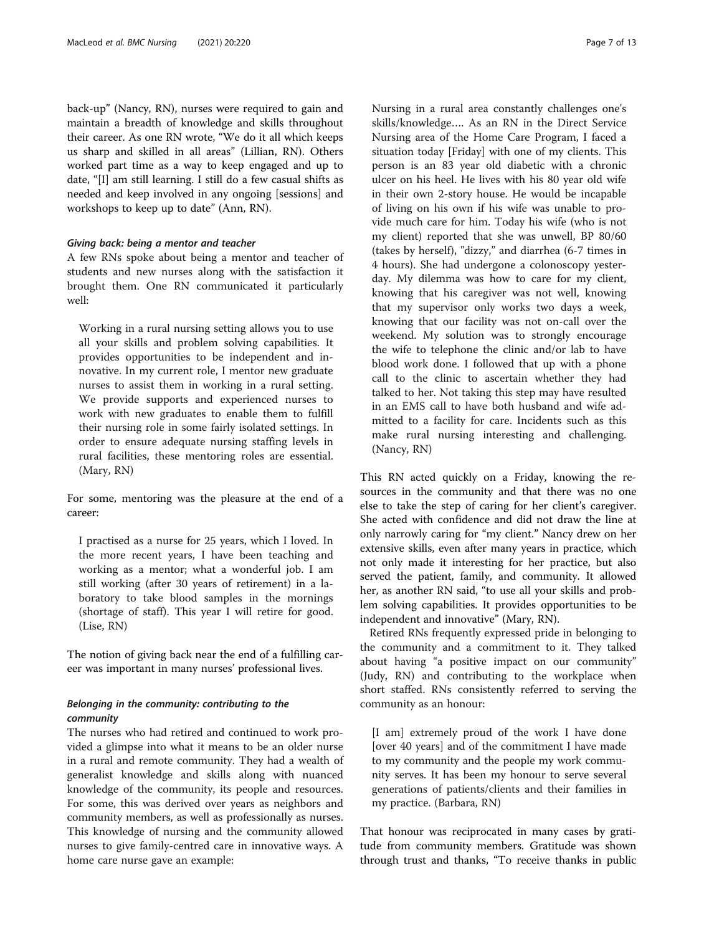back-up" (Nancy, RN), nurses were required to gain and maintain a breadth of knowledge and skills throughout their career. As one RN wrote, "We do it all which keeps us sharp and skilled in all areas" (Lillian, RN). Others worked part time as a way to keep engaged and up to date, "[I] am still learning. I still do a few casual shifts as needed and keep involved in any ongoing [sessions] and workshops to keep up to date" (Ann, RN).

# Giving back: being a mentor and teacher

A few RNs spoke about being a mentor and teacher of students and new nurses along with the satisfaction it brought them. One RN communicated it particularly well:

Working in a rural nursing setting allows you to use all your skills and problem solving capabilities. It provides opportunities to be independent and innovative. In my current role, I mentor new graduate nurses to assist them in working in a rural setting. We provide supports and experienced nurses to work with new graduates to enable them to fulfill their nursing role in some fairly isolated settings. In order to ensure adequate nursing staffing levels in rural facilities, these mentoring roles are essential. (Mary, RN)

For some, mentoring was the pleasure at the end of a career:

I practised as a nurse for 25 years, which I loved. In the more recent years, I have been teaching and working as a mentor; what a wonderful job. I am still working (after 30 years of retirement) in a laboratory to take blood samples in the mornings (shortage of staff). This year I will retire for good. (Lise, RN)

The notion of giving back near the end of a fulfilling career was important in many nurses' professional lives.

# Belonging in the community: contributing to the community

The nurses who had retired and continued to work provided a glimpse into what it means to be an older nurse in a rural and remote community. They had a wealth of generalist knowledge and skills along with nuanced knowledge of the community, its people and resources. For some, this was derived over years as neighbors and community members, as well as professionally as nurses. This knowledge of nursing and the community allowed nurses to give family-centred care in innovative ways. A home care nurse gave an example:

Nursing in a rural area constantly challenges one's skills/knowledge…. As an RN in the Direct Service Nursing area of the Home Care Program, I faced a situation today [Friday] with one of my clients. This person is an 83 year old diabetic with a chronic ulcer on his heel. He lives with his 80 year old wife in their own 2-story house. He would be incapable of living on his own if his wife was unable to provide much care for him. Today his wife (who is not my client) reported that she was unwell, BP 80/60 (takes by herself), "dizzy," and diarrhea (6-7 times in 4 hours). She had undergone a colonoscopy yesterday. My dilemma was how to care for my client, knowing that his caregiver was not well, knowing that my supervisor only works two days a week, knowing that our facility was not on-call over the weekend. My solution was to strongly encourage the wife to telephone the clinic and/or lab to have blood work done. I followed that up with a phone call to the clinic to ascertain whether they had talked to her. Not taking this step may have resulted in an EMS call to have both husband and wife admitted to a facility for care. Incidents such as this make rural nursing interesting and challenging. (Nancy, RN)

This RN acted quickly on a Friday, knowing the resources in the community and that there was no one else to take the step of caring for her client's caregiver. She acted with confidence and did not draw the line at only narrowly caring for "my client." Nancy drew on her extensive skills, even after many years in practice, which not only made it interesting for her practice, but also served the patient, family, and community. It allowed her, as another RN said, "to use all your skills and problem solving capabilities. It provides opportunities to be independent and innovative" (Mary, RN).

Retired RNs frequently expressed pride in belonging to the community and a commitment to it. They talked about having "a positive impact on our community" (Judy, RN) and contributing to the workplace when short staffed. RNs consistently referred to serving the community as an honour:

[I am] extremely proud of the work I have done [over 40 years] and of the commitment I have made to my community and the people my work community serves. It has been my honour to serve several generations of patients/clients and their families in my practice. (Barbara, RN)

That honour was reciprocated in many cases by gratitude from community members. Gratitude was shown through trust and thanks, "To receive thanks in public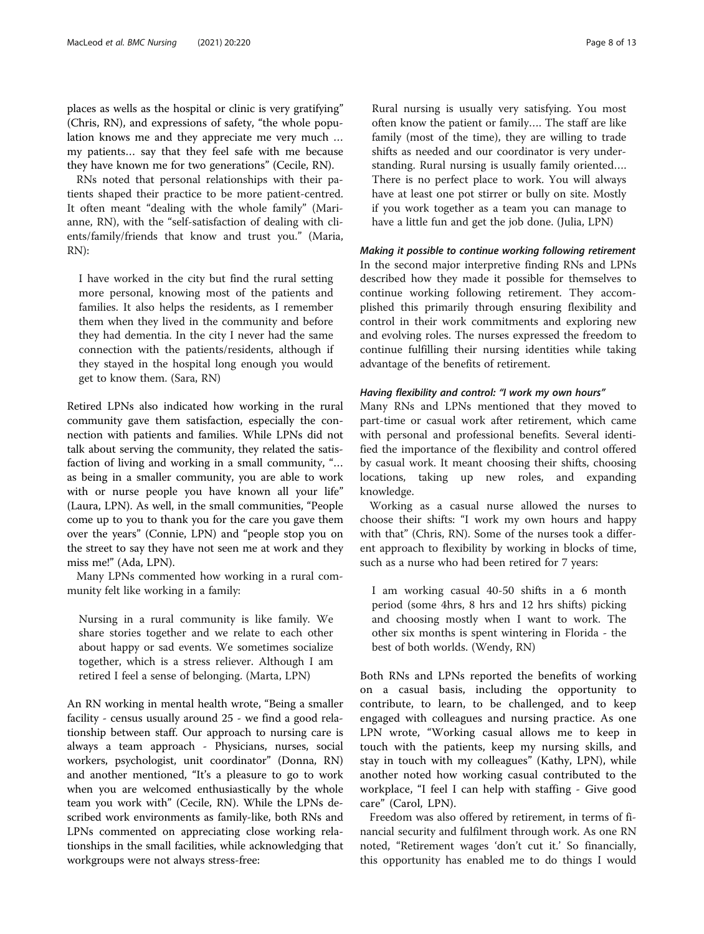places as wells as the hospital or clinic is very gratifying" (Chris, RN), and expressions of safety, "the whole population knows me and they appreciate me very much … my patients… say that they feel safe with me because they have known me for two generations" (Cecile, RN).

RNs noted that personal relationships with their patients shaped their practice to be more patient-centred. It often meant "dealing with the whole family" (Marianne, RN), with the "self-satisfaction of dealing with clients/family/friends that know and trust you." (Maria, RN):

I have worked in the city but find the rural setting more personal, knowing most of the patients and families. It also helps the residents, as I remember them when they lived in the community and before they had dementia. In the city I never had the same connection with the patients/residents, although if they stayed in the hospital long enough you would get to know them. (Sara, RN)

Retired LPNs also indicated how working in the rural community gave them satisfaction, especially the connection with patients and families. While LPNs did not talk about serving the community, they related the satisfaction of living and working in a small community, "… as being in a smaller community, you are able to work with or nurse people you have known all your life" (Laura, LPN). As well, in the small communities, "People come up to you to thank you for the care you gave them over the years" (Connie, LPN) and "people stop you on the street to say they have not seen me at work and they miss me!" (Ada, LPN).

Many LPNs commented how working in a rural community felt like working in a family:

Nursing in a rural community is like family. We share stories together and we relate to each other about happy or sad events. We sometimes socialize together, which is a stress reliever. Although I am retired I feel a sense of belonging. (Marta, LPN)

An RN working in mental health wrote, "Being a smaller facility - census usually around 25 - we find a good relationship between staff. Our approach to nursing care is always a team approach - Physicians, nurses, social workers, psychologist, unit coordinator" (Donna, RN) and another mentioned, "It's a pleasure to go to work when you are welcomed enthusiastically by the whole team you work with" (Cecile, RN). While the LPNs described work environments as family-like, both RNs and LPNs commented on appreciating close working relationships in the small facilities, while acknowledging that workgroups were not always stress-free:

Rural nursing is usually very satisfying. You most often know the patient or family…. The staff are like family (most of the time), they are willing to trade shifts as needed and our coordinator is very understanding. Rural nursing is usually family oriented…. There is no perfect place to work. You will always have at least one pot stirrer or bully on site. Mostly if you work together as a team you can manage to have a little fun and get the job done. (Julia, LPN)

# Making it possible to continue working following retirement

In the second major interpretive finding RNs and LPNs described how they made it possible for themselves to continue working following retirement. They accomplished this primarily through ensuring flexibility and control in their work commitments and exploring new and evolving roles. The nurses expressed the freedom to continue fulfilling their nursing identities while taking advantage of the benefits of retirement.

# Having flexibility and control: "I work my own hours"

Many RNs and LPNs mentioned that they moved to part-time or casual work after retirement, which came with personal and professional benefits. Several identified the importance of the flexibility and control offered by casual work. It meant choosing their shifts, choosing locations, taking up new roles, and expanding knowledge.

Working as a casual nurse allowed the nurses to choose their shifts: "I work my own hours and happy with that" (Chris, RN). Some of the nurses took a different approach to flexibility by working in blocks of time, such as a nurse who had been retired for 7 years:

I am working casual 40-50 shifts in a 6 month period (some 4hrs, 8 hrs and 12 hrs shifts) picking and choosing mostly when I want to work. The other six months is spent wintering in Florida - the best of both worlds. (Wendy, RN)

Both RNs and LPNs reported the benefits of working on a casual basis, including the opportunity to contribute, to learn, to be challenged, and to keep engaged with colleagues and nursing practice. As one LPN wrote, "Working casual allows me to keep in touch with the patients, keep my nursing skills, and stay in touch with my colleagues" (Kathy, LPN), while another noted how working casual contributed to the workplace, "I feel I can help with staffing - Give good care" (Carol, LPN).

Freedom was also offered by retirement, in terms of financial security and fulfilment through work. As one RN noted, "Retirement wages 'don't cut it.' So financially, this opportunity has enabled me to do things I would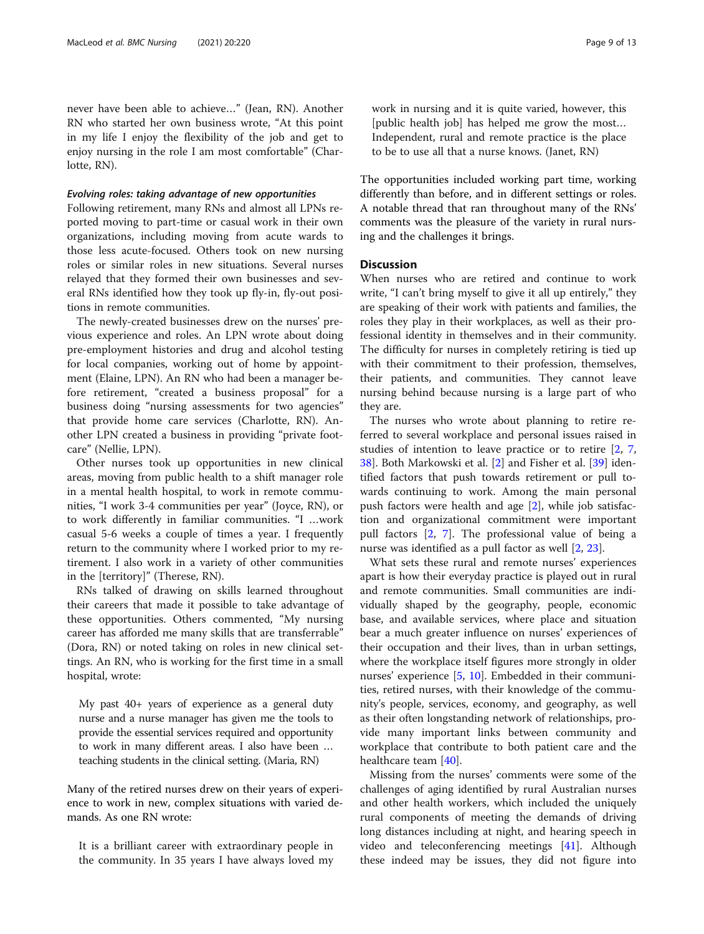never have been able to achieve…" (Jean, RN). Another RN who started her own business wrote, "At this point in my life I enjoy the flexibility of the job and get to enjoy nursing in the role I am most comfortable" (Charlotte, RN).

### Evolving roles: taking advantage of new opportunities

Following retirement, many RNs and almost all LPNs reported moving to part-time or casual work in their own organizations, including moving from acute wards to those less acute-focused. Others took on new nursing roles or similar roles in new situations. Several nurses relayed that they formed their own businesses and several RNs identified how they took up fly-in, fly-out positions in remote communities.

The newly-created businesses drew on the nurses' previous experience and roles. An LPN wrote about doing pre-employment histories and drug and alcohol testing for local companies, working out of home by appointment (Elaine, LPN). An RN who had been a manager before retirement, "created a business proposal" for a business doing "nursing assessments for two agencies" that provide home care services (Charlotte, RN). Another LPN created a business in providing "private footcare" (Nellie, LPN).

Other nurses took up opportunities in new clinical areas, moving from public health to a shift manager role in a mental health hospital, to work in remote communities, "I work 3-4 communities per year" (Joyce, RN), or to work differently in familiar communities. "I …work casual 5-6 weeks a couple of times a year. I frequently return to the community where I worked prior to my retirement. I also work in a variety of other communities in the [territory]" (Therese, RN).

RNs talked of drawing on skills learned throughout their careers that made it possible to take advantage of these opportunities. Others commented, "My nursing career has afforded me many skills that are transferrable" (Dora, RN) or noted taking on roles in new clinical settings. An RN, who is working for the first time in a small hospital, wrote:

My past 40+ years of experience as a general duty nurse and a nurse manager has given me the tools to provide the essential services required and opportunity to work in many different areas. I also have been … teaching students in the clinical setting. (Maria, RN)

Many of the retired nurses drew on their years of experience to work in new, complex situations with varied demands. As one RN wrote:

It is a brilliant career with extraordinary people in the community. In 35 years I have always loved my work in nursing and it is quite varied, however, this [public health job] has helped me grow the most… Independent, rural and remote practice is the place to be to use all that a nurse knows. (Janet, RN)

The opportunities included working part time, working differently than before, and in different settings or roles. A notable thread that ran throughout many of the RNs' comments was the pleasure of the variety in rural nursing and the challenges it brings.

# **Discussion**

When nurses who are retired and continue to work write, "I can't bring myself to give it all up entirely," they are speaking of their work with patients and families, the roles they play in their workplaces, as well as their professional identity in themselves and in their community. The difficulty for nurses in completely retiring is tied up with their commitment to their profession, themselves, their patients, and communities. They cannot leave nursing behind because nursing is a large part of who they are.

The nurses who wrote about planning to retire referred to several workplace and personal issues raised in studies of intention to leave practice or to retire [\[2](#page-11-0), [7](#page-11-0), [38\]](#page-12-0). Both Markowski et al. [\[2\]](#page-11-0) and Fisher et al. [[39](#page-12-0)] identified factors that push towards retirement or pull towards continuing to work. Among the main personal push factors were health and age [\[2\]](#page-11-0), while job satisfaction and organizational commitment were important pull factors [[2,](#page-11-0) [7](#page-11-0)]. The professional value of being a nurse was identified as a pull factor as well [[2,](#page-11-0) [23\]](#page-12-0).

What sets these rural and remote nurses' experiences apart is how their everyday practice is played out in rural and remote communities. Small communities are individually shaped by the geography, people, economic base, and available services, where place and situation bear a much greater influence on nurses' experiences of their occupation and their lives, than in urban settings, where the workplace itself figures more strongly in older nurses' experience [[5](#page-11-0), [10\]](#page-11-0). Embedded in their communities, retired nurses, with their knowledge of the community's people, services, economy, and geography, as well as their often longstanding network of relationships, provide many important links between community and workplace that contribute to both patient care and the healthcare team [[40\]](#page-12-0).

Missing from the nurses' comments were some of the challenges of aging identified by rural Australian nurses and other health workers, which included the uniquely rural components of meeting the demands of driving long distances including at night, and hearing speech in video and teleconferencing meetings [[41\]](#page-12-0). Although these indeed may be issues, they did not figure into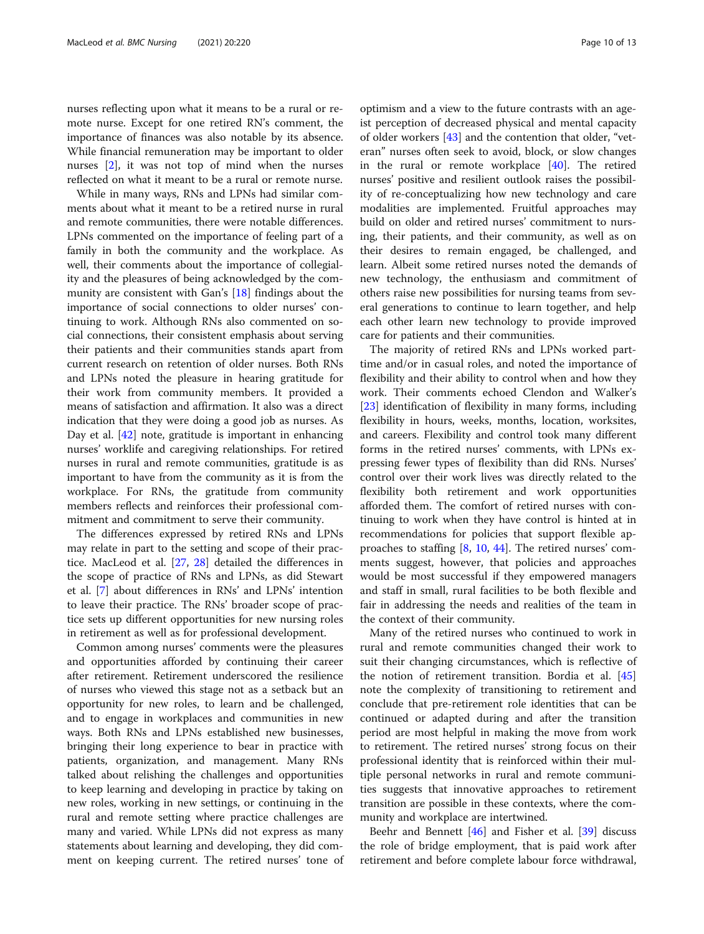nurses reflecting upon what it means to be a rural or remote nurse. Except for one retired RN's comment, the importance of finances was also notable by its absence. While financial remuneration may be important to older nurses [[2\]](#page-11-0), it was not top of mind when the nurses reflected on what it meant to be a rural or remote nurse.

While in many ways, RNs and LPNs had similar comments about what it meant to be a retired nurse in rural and remote communities, there were notable differences. LPNs commented on the importance of feeling part of a family in both the community and the workplace. As well, their comments about the importance of collegiality and the pleasures of being acknowledged by the community are consistent with Gan's [\[18](#page-12-0)] findings about the importance of social connections to older nurses' continuing to work. Although RNs also commented on social connections, their consistent emphasis about serving their patients and their communities stands apart from current research on retention of older nurses. Both RNs and LPNs noted the pleasure in hearing gratitude for their work from community members. It provided a means of satisfaction and affirmation. It also was a direct indication that they were doing a good job as nurses. As Day et al. [[42\]](#page-12-0) note, gratitude is important in enhancing nurses' worklife and caregiving relationships. For retired nurses in rural and remote communities, gratitude is as important to have from the community as it is from the workplace. For RNs, the gratitude from community members reflects and reinforces their professional commitment and commitment to serve their community.

The differences expressed by retired RNs and LPNs may relate in part to the setting and scope of their practice. MacLeod et al. [\[27,](#page-12-0) [28\]](#page-12-0) detailed the differences in the scope of practice of RNs and LPNs, as did Stewart et al. [\[7](#page-11-0)] about differences in RNs' and LPNs' intention to leave their practice. The RNs' broader scope of practice sets up different opportunities for new nursing roles in retirement as well as for professional development.

Common among nurses' comments were the pleasures and opportunities afforded by continuing their career after retirement. Retirement underscored the resilience of nurses who viewed this stage not as a setback but an opportunity for new roles, to learn and be challenged, and to engage in workplaces and communities in new ways. Both RNs and LPNs established new businesses, bringing their long experience to bear in practice with patients, organization, and management. Many RNs talked about relishing the challenges and opportunities to keep learning and developing in practice by taking on new roles, working in new settings, or continuing in the rural and remote setting where practice challenges are many and varied. While LPNs did not express as many statements about learning and developing, they did comment on keeping current. The retired nurses' tone of

optimism and a view to the future contrasts with an ageist perception of decreased physical and mental capacity of older workers [[43\]](#page-12-0) and the contention that older, "veteran" nurses often seek to avoid, block, or slow changes in the rural or remote workplace [[40\]](#page-12-0). The retired nurses' positive and resilient outlook raises the possibility of re-conceptualizing how new technology and care modalities are implemented. Fruitful approaches may build on older and retired nurses' commitment to nursing, their patients, and their community, as well as on their desires to remain engaged, be challenged, and learn. Albeit some retired nurses noted the demands of new technology, the enthusiasm and commitment of others raise new possibilities for nursing teams from several generations to continue to learn together, and help each other learn new technology to provide improved care for patients and their communities.

The majority of retired RNs and LPNs worked parttime and/or in casual roles, and noted the importance of flexibility and their ability to control when and how they work. Their comments echoed Clendon and Walker's [[23\]](#page-12-0) identification of flexibility in many forms, including flexibility in hours, weeks, months, location, worksites, and careers. Flexibility and control took many different forms in the retired nurses' comments, with LPNs expressing fewer types of flexibility than did RNs. Nurses' control over their work lives was directly related to the flexibility both retirement and work opportunities afforded them. The comfort of retired nurses with continuing to work when they have control is hinted at in recommendations for policies that support flexible approaches to staffing [[8,](#page-11-0) [10](#page-11-0), [44](#page-12-0)]. The retired nurses' comments suggest, however, that policies and approaches would be most successful if they empowered managers and staff in small, rural facilities to be both flexible and fair in addressing the needs and realities of the team in the context of their community.

Many of the retired nurses who continued to work in rural and remote communities changed their work to suit their changing circumstances, which is reflective of the notion of retirement transition. Bordia et al. [[45](#page-12-0)] note the complexity of transitioning to retirement and conclude that pre-retirement role identities that can be continued or adapted during and after the transition period are most helpful in making the move from work to retirement. The retired nurses' strong focus on their professional identity that is reinforced within their multiple personal networks in rural and remote communities suggests that innovative approaches to retirement transition are possible in these contexts, where the community and workplace are intertwined.

Beehr and Bennett [[46\]](#page-12-0) and Fisher et al. [[39](#page-12-0)] discuss the role of bridge employment, that is paid work after retirement and before complete labour force withdrawal,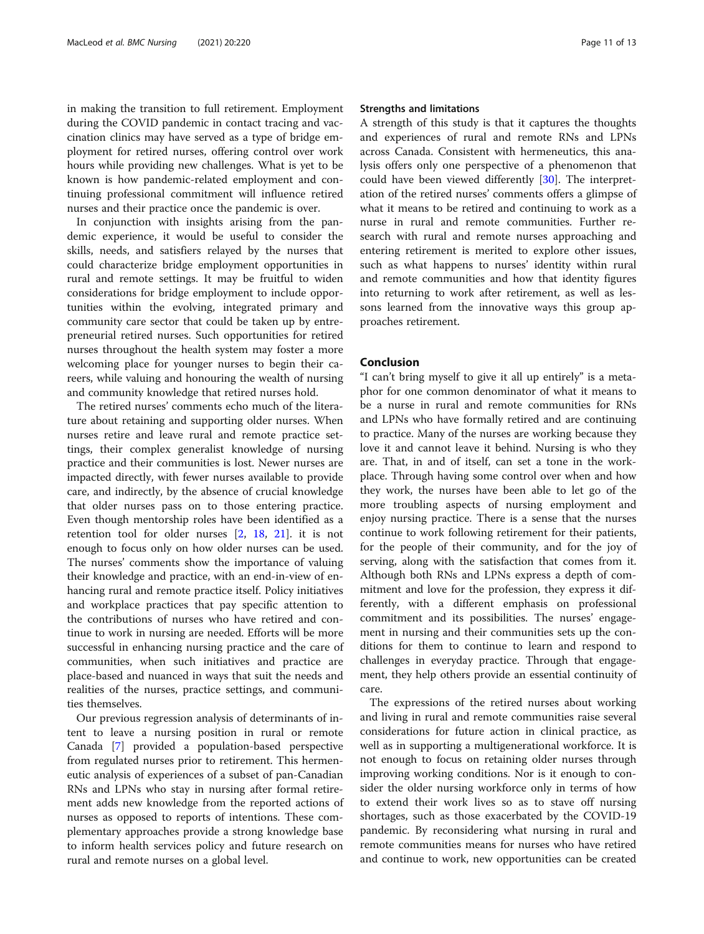in making the transition to full retirement. Employment during the COVID pandemic in contact tracing and vaccination clinics may have served as a type of bridge employment for retired nurses, offering control over work hours while providing new challenges. What is yet to be known is how pandemic-related employment and continuing professional commitment will influence retired nurses and their practice once the pandemic is over.

In conjunction with insights arising from the pandemic experience, it would be useful to consider the skills, needs, and satisfiers relayed by the nurses that could characterize bridge employment opportunities in rural and remote settings. It may be fruitful to widen considerations for bridge employment to include opportunities within the evolving, integrated primary and community care sector that could be taken up by entrepreneurial retired nurses. Such opportunities for retired nurses throughout the health system may foster a more welcoming place for younger nurses to begin their careers, while valuing and honouring the wealth of nursing and community knowledge that retired nurses hold.

The retired nurses' comments echo much of the literature about retaining and supporting older nurses. When nurses retire and leave rural and remote practice settings, their complex generalist knowledge of nursing practice and their communities is lost. Newer nurses are impacted directly, with fewer nurses available to provide care, and indirectly, by the absence of crucial knowledge that older nurses pass on to those entering practice. Even though mentorship roles have been identified as a retention tool for older nurses [\[2](#page-11-0), [18](#page-12-0), [21\]](#page-12-0). it is not enough to focus only on how older nurses can be used. The nurses' comments show the importance of valuing their knowledge and practice, with an end-in-view of enhancing rural and remote practice itself. Policy initiatives and workplace practices that pay specific attention to the contributions of nurses who have retired and continue to work in nursing are needed. Efforts will be more successful in enhancing nursing practice and the care of communities, when such initiatives and practice are place-based and nuanced in ways that suit the needs and realities of the nurses, practice settings, and communities themselves.

Our previous regression analysis of determinants of intent to leave a nursing position in rural or remote Canada [\[7](#page-11-0)] provided a population-based perspective from regulated nurses prior to retirement. This hermeneutic analysis of experiences of a subset of pan-Canadian RNs and LPNs who stay in nursing after formal retirement adds new knowledge from the reported actions of nurses as opposed to reports of intentions. These complementary approaches provide a strong knowledge base to inform health services policy and future research on rural and remote nurses on a global level.

## Strengths and limitations

A strength of this study is that it captures the thoughts and experiences of rural and remote RNs and LPNs across Canada. Consistent with hermeneutics, this analysis offers only one perspective of a phenomenon that could have been viewed differently [\[30](#page-12-0)]. The interpretation of the retired nurses' comments offers a glimpse of what it means to be retired and continuing to work as a nurse in rural and remote communities. Further research with rural and remote nurses approaching and entering retirement is merited to explore other issues, such as what happens to nurses' identity within rural and remote communities and how that identity figures into returning to work after retirement, as well as lessons learned from the innovative ways this group approaches retirement.

# Conclusion

"I can't bring myself to give it all up entirely" is a metaphor for one common denominator of what it means to be a nurse in rural and remote communities for RNs and LPNs who have formally retired and are continuing to practice. Many of the nurses are working because they love it and cannot leave it behind. Nursing is who they are. That, in and of itself, can set a tone in the workplace. Through having some control over when and how they work, the nurses have been able to let go of the more troubling aspects of nursing employment and enjoy nursing practice. There is a sense that the nurses continue to work following retirement for their patients, for the people of their community, and for the joy of serving, along with the satisfaction that comes from it. Although both RNs and LPNs express a depth of commitment and love for the profession, they express it differently, with a different emphasis on professional commitment and its possibilities. The nurses' engagement in nursing and their communities sets up the conditions for them to continue to learn and respond to challenges in everyday practice. Through that engagement, they help others provide an essential continuity of care.

The expressions of the retired nurses about working and living in rural and remote communities raise several considerations for future action in clinical practice, as well as in supporting a multigenerational workforce. It is not enough to focus on retaining older nurses through improving working conditions. Nor is it enough to consider the older nursing workforce only in terms of how to extend their work lives so as to stave off nursing shortages, such as those exacerbated by the COVID-19 pandemic. By reconsidering what nursing in rural and remote communities means for nurses who have retired and continue to work, new opportunities can be created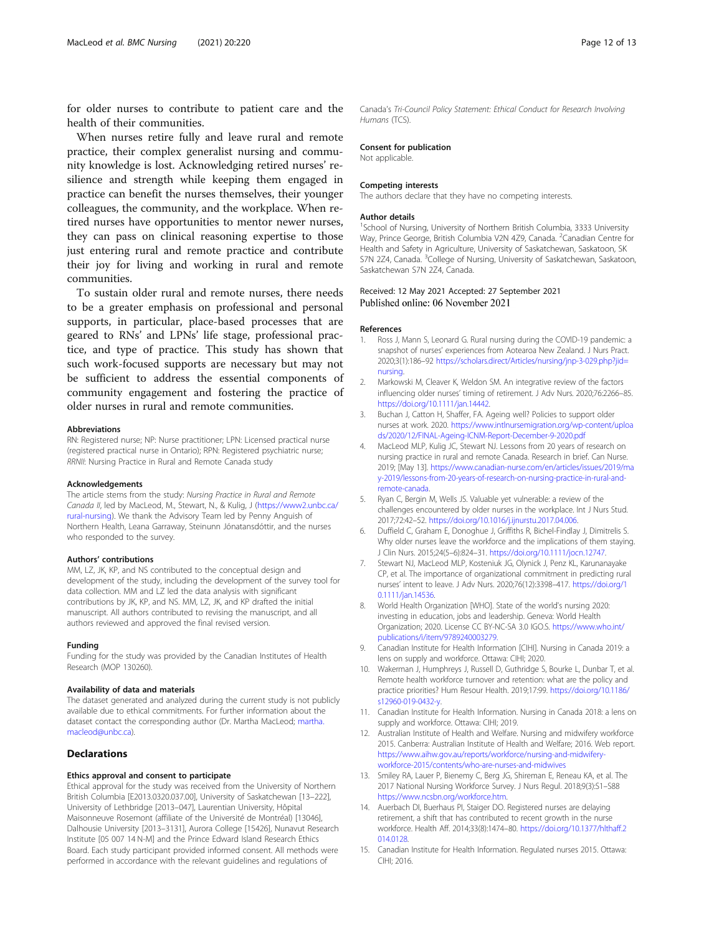<span id="page-11-0"></span>for older nurses to contribute to patient care and the health of their communities.

When nurses retire fully and leave rural and remote practice, their complex generalist nursing and community knowledge is lost. Acknowledging retired nurses' resilience and strength while keeping them engaged in practice can benefit the nurses themselves, their younger colleagues, the community, and the workplace. When retired nurses have opportunities to mentor newer nurses, they can pass on clinical reasoning expertise to those just entering rural and remote practice and contribute their joy for living and working in rural and remote communities.

To sustain older rural and remote nurses, there needs to be a greater emphasis on professional and personal supports, in particular, place-based processes that are geared to RNs' and LPNs' life stage, professional practice, and type of practice. This study has shown that such work-focused supports are necessary but may not be sufficient to address the essential components of community engagement and fostering the practice of older nurses in rural and remote communities.

#### Abbreviations

RN: Registered nurse; NP: Nurse practitioner; LPN: Licensed practical nurse (registered practical nurse in Ontario); RPN: Registered psychiatric nurse; RRNII: Nursing Practice in Rural and Remote Canada study

#### Acknowledgements

The article stems from the study: Nursing Practice in Rural and Remote Canada II, led by MacLeod, M., Stewart, N., & Kulig, J ([https://www2.unbc.ca/](https://www2.unbc.ca/rural-nursing) [rural-nursing\)](https://www2.unbc.ca/rural-nursing). We thank the Advisory Team led by Penny Anguish of Northern Health, Leana Garraway, Steinunn Jónatansdóttir, and the nurses who responded to the survey.

#### Authors' contributions

MM, LZ, JK, KP, and NS contributed to the conceptual design and development of the study, including the development of the survey tool for data collection. MM and LZ led the data analysis with significant contributions by JK, KP, and NS. MM, LZ, JK, and KP drafted the initial manuscript. All authors contributed to revising the manuscript, and all authors reviewed and approved the final revised version.

#### Funding

Funding for the study was provided by the Canadian Institutes of Health Research (MOP 130260).

#### Availability of data and materials

The dataset generated and analyzed during the current study is not publicly available due to ethical commitments. For further information about the dataset contact the corresponding author (Dr. Martha MacLeod; [martha.](mailto:martha.macleod@unbc.ca) [macleod@unbc.ca](mailto:martha.macleod@unbc.ca)).

# **Declarations**

#### Ethics approval and consent to participate

Ethical approval for the study was received from the University of Northern British Columbia [E2013.0320.037.00], University of Saskatchewan [13–222], University of Lethbridge [2013–047], Laurentian University, Hôpital Maisonneuve Rosemont (affiliate of the Université de Montréal) [13046], Dalhousie University [2013–3131], Aurora College [15426], Nunavut Research Institute [05 007 14 N-M] and the Prince Edward Island Research Ethics Board. Each study participant provided informed consent. All methods were performed in accordance with the relevant guidelines and regulations of

#### Consent for publication

Not applicable.

#### Competing interests

The authors declare that they have no competing interests.

#### Author details

<sup>1</sup>School of Nursing, University of Northern British Columbia, 3333 University Way, Prince George, British Columbia V2N 4Z9, Canada. <sup>2</sup>Canadian Centre for Health and Safety in Agriculture, University of Saskatchewan, Saskatoon, SK S7N 2Z4, Canada. <sup>3</sup>College of Nursing, University of Saskatchewan, Saskatoon, Saskatchewan S7N 2Z4, Canada.

# Received: 12 May 2021 Accepted: 27 September 2021<br>Published online: 06 November 2021

#### References

- 1. Ross J, Mann S, Leonard G. Rural nursing during the COVID-19 pandemic: a snapshot of nurses' experiences from Aotearoa New Zealand. J Nurs Pract. 2020;3(1):186–92 [https://scholars.direct/Articles/nursing/jnp-3-029.php?jid=](https://scholars.direct/Articles/nursing/jnp-3-029.php?jid=nursing) [nursing](https://scholars.direct/Articles/nursing/jnp-3-029.php?jid=nursing).
- 2. Markowski M, Cleaver K, Weldon SM. An integrative review of the factors influencing older nurses' timing of retirement. J Adv Nurs. 2020;76:2266–85. [https://doi.org/10.1111/jan.14442.](https://doi.org/10.1111/jan.14442)
- 3. Buchan J, Catton H, Shaffer, FA. Ageing well? Policies to support older nurses at work. 2020. [https://www.intlnursemigration.org/wp-content/uploa](https://www.intlnursemigration.org/wp-content/uploads/2020/12/FINAL-Ageing-ICNM-Report-December-9-2020.pdf) [ds/2020/12/FINAL-Ageing-ICNM-Report-December-9-2020.pdf](https://www.intlnursemigration.org/wp-content/uploads/2020/12/FINAL-Ageing-ICNM-Report-December-9-2020.pdf)
- 4. MacLeod MLP, Kulig JC, Stewart NJ. Lessons from 20 years of research on nursing practice in rural and remote Canada. Research in brief. Can Nurse. 2019; [May 13]. [https://www.canadian-nurse.com/en/articles/issues/2019/ma](https://www.canadian-nurse.com/en/articles/issues/2019/may-2019/lessons-from-20-years-of-research-on-nursing-practice-in-rural-and-remote-canada) [y-2019/lessons-from-20-years-of-research-on-nursing-practice-in-rural-and](https://www.canadian-nurse.com/en/articles/issues/2019/may-2019/lessons-from-20-years-of-research-on-nursing-practice-in-rural-and-remote-canada)[remote-canada.](https://www.canadian-nurse.com/en/articles/issues/2019/may-2019/lessons-from-20-years-of-research-on-nursing-practice-in-rural-and-remote-canada)
- 5. Ryan C, Bergin M, Wells JS. Valuable yet vulnerable: a review of the challenges encountered by older nurses in the workplace. Int J Nurs Stud. 2017;72:42–52. <https://doi.org/10.1016/j.ijnurstu.2017.04.006>.
- 6. Duffield C, Graham E, Donoghue J, Griffiths R, Bichel-Findlay J, Dimitrelis S. Why older nurses leave the workforce and the implications of them staying. J Clin Nurs. 2015;24(5–6):824–31. [https://doi.org/10.1111/jocn.12747.](https://doi.org/10.1111/jocn.12747)
- 7. Stewart NJ, MacLeod MLP, Kosteniuk JG, Olynick J, Penz KL, Karunanayake CP, et al. The importance of organizational commitment in predicting rural nurses' intent to leave. J Adv Nurs. 2020;76(12):3398–417. [https://doi.org/1](https://doi.org/10.1111/jan.14536) [0.1111/jan.14536](https://doi.org/10.1111/jan.14536).
- 8. World Health Organization [WHO]. State of the world's nursing 2020: investing in education, jobs and leadership. Geneva: World Health Organization; 2020. License CC BY-NC-SA 3.0 IGO.S. [https://www.who.int/](https://www.who.int/publications/i/item/9789240003279) [publications/i/item/9789240003279.](https://www.who.int/publications/i/item/9789240003279)
- 9. Canadian Institute for Health Information [CIHI]. Nursing in Canada 2019: a lens on supply and workforce. Ottawa: CIHI; 2020.
- 10. Wakerman J, Humphreys J, Russell D, Guthridge S, Bourke L, Dunbar T, et al. Remote health workforce turnover and retention: what are the policy and practice priorities? Hum Resour Health. 2019;17:99. [https://doi.org/10.1186/](https://doi.org/10.1186/s12960-019-0432-y) [s12960-019-0432-y.](https://doi.org/10.1186/s12960-019-0432-y)
- 11. Canadian Institute for Health Information. Nursing in Canada 2018: a lens on supply and workforce. Ottawa: CIHI; 2019.
- 12. Australian Institute of Health and Welfare. Nursing and midwifery workforce 2015. Canberra: Australian Institute of Health and Welfare; 2016. Web report. [https://www.aihw.gov.au/reports/workforce/nursing-and-midwifery](https://www.aihw.gov.au/reports/workforce/nursing-and-midwifery-workforce-2015/contents/who-are-nurses-and-midwives)[workforce-2015/contents/who-are-nurses-and-midwives](https://www.aihw.gov.au/reports/workforce/nursing-and-midwifery-workforce-2015/contents/who-are-nurses-and-midwives)
- 13. Smiley RA, Lauer P, Bienemy C, Berg JG, Shireman E, Reneau KA, et al. The 2017 National Nursing Workforce Survey. J Nurs Regul. 2018;9(3):S1–S88 <https://www.ncsbn.org/workforce.htm>.
- 14. Auerbach DI, Buerhaus PI, Staiger DO. Registered nurses are delaying retirement, a shift that has contributed to recent growth in the nurse workforce. Health Aff. 2014;33(8):1474–80. [https://doi.org/10.1377/hlthaff.2](https://doi.org/10.1377/hlthaff.2014.0128) [014.0128.](https://doi.org/10.1377/hlthaff.2014.0128)
- 15. Canadian Institute for Health Information. Regulated nurses 2015. Ottawa: CIHI; 2016.